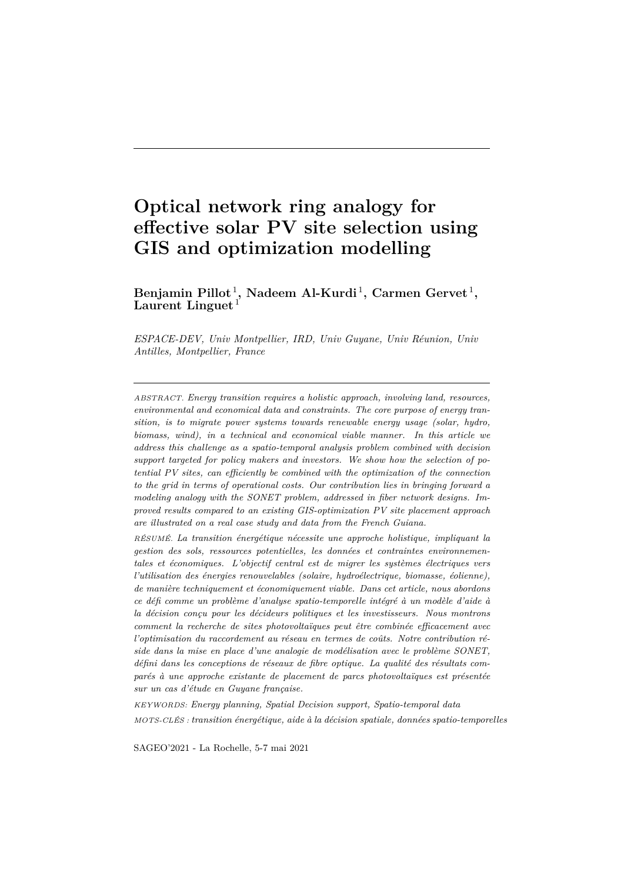# **Optical network ring analogy for effective solar PV site selection using GIS and optimization modelling**

 $\text{Benjamin Pillot}^1, \text{Nadeem Al-Kurdi}^1, \text{Carmen Gervet}^1,$ **Laurent Linguet** <sup>1</sup>

*ESPACE-DEV, Univ Montpellier, IRD, Univ Guyane, Univ Réunion, Univ Antilles, Montpellier, France*

*ABSTRACT. Energy transition requires a holistic approach, involving land, resources, environmental and economical data and constraints. The core purpose of energy transition, is to migrate power systems towards renewable energy usage (solar, hydro, biomass, wind), in a technical and economical viable manner. In this article we address this challenge as a spatio-temporal analysis problem combined with decision support targeted for policy makers and investors. We show how the selection of potential PV sites, can efficiently be combined with the optimization of the connection to the grid in terms of operational costs. Our contribution lies in bringing forward a modeling analogy with the SONET problem, addressed in fiber network designs. Improved results compared to an existing GIS-optimization PV site placement approach are illustrated on a real case study and data from the French Guiana.*

*RÉSUMÉ. La transition énergétique nécessite une approche holistique, impliquant la gestion des sols, ressources potentielles, les données et contraintes environnementales et économiques. L'objectif central est de migrer les systèmes électriques vers l'utilisation des énergies renouvelables (solaire, hydroélectrique, biomasse, éolienne), de manière techniquement et économiquement viable. Dans cet article, nous abordons ce défi comme un problème d'analyse spatio-temporelle intégré à un modèle d'aide à la décision conçu pour les décideurs politiques et les investisseurs. Nous montrons comment la recherche de sites photovoltaïques peut être combinée efficacement avec l'optimisation du raccordement au réseau en termes de coûts. Notre contribution réside dans la mise en place d'une analogie de modélisation avec le problème SONET, défini dans les conceptions de réseaux de fibre optique. La qualité des résultats comparés à une approche existante de placement de parcs photovoltaïques est présentée sur un cas d'étude en Guyane française.*

*KEYWORDS: Energy planning, Spatial Decision support, Spatio-temporal data MOTS-CLÉS : transition énergétique, aide à la décision spatiale, données spatio-temporelles*

SAGEO'2021 - La Rochelle, 5-7 mai 2021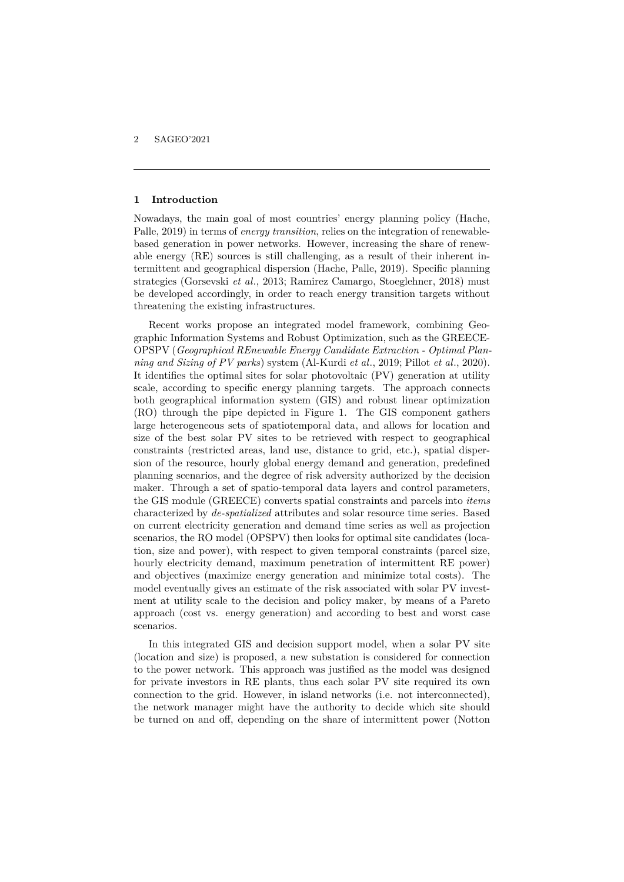## **1 Introduction**

Nowadays, the main goal of most countries' energy planning policy (Hache, Palle, 2019) in terms of *energy transition*, relies on the integration of renewablebased generation in power networks. However, increasing the share of renewable energy (RE) sources is still challenging, as a result of their inherent intermittent and geographical dispersion (Hache, Palle, 2019). Specific planning strategies (Gorsevski *et al*., 2013; Ramirez Camargo, Stoeglehner, 2018) must be developed accordingly, in order to reach energy transition targets without threatening the existing infrastructures.

Recent works propose an integrated model framework, combining Geographic Information Systems and Robust Optimization, such as the GREECE-OPSPV (*Geographical REnewable Energy Candidate Extraction - Optimal Planning and Sizing of PV parks*) system (Al-Kurdi *et al*., 2019; Pillot *et al*., 2020). It identifies the optimal sites for solar photovoltaic (PV) generation at utility scale, according to specific energy planning targets. The approach connects both geographical information system (GIS) and robust linear optimization (RO) through the pipe depicted in Figure 1. The GIS component gathers large heterogeneous sets of spatiotemporal data, and allows for location and size of the best solar PV sites to be retrieved with respect to geographical constraints (restricted areas, land use, distance to grid, etc.), spatial dispersion of the resource, hourly global energy demand and generation, predefined planning scenarios, and the degree of risk adversity authorized by the decision maker. Through a set of spatio-temporal data layers and control parameters, the GIS module (GREECE) converts spatial constraints and parcels into *items* characterized by *de-spatialized* attributes and solar resource time series. Based on current electricity generation and demand time series as well as projection scenarios, the RO model (OPSPV) then looks for optimal site candidates (location, size and power), with respect to given temporal constraints (parcel size, hourly electricity demand, maximum penetration of intermittent RE power) and objectives (maximize energy generation and minimize total costs). The model eventually gives an estimate of the risk associated with solar PV investment at utility scale to the decision and policy maker, by means of a Pareto approach (cost vs. energy generation) and according to best and worst case scenarios.

In this integrated GIS and decision support model, when a solar PV site (location and size) is proposed, a new substation is considered for connection to the power network. This approach was justified as the model was designed for private investors in RE plants, thus each solar PV site required its own connection to the grid. However, in island networks (i.e. not interconnected), the network manager might have the authority to decide which site should be turned on and off, depending on the share of intermittent power (Notton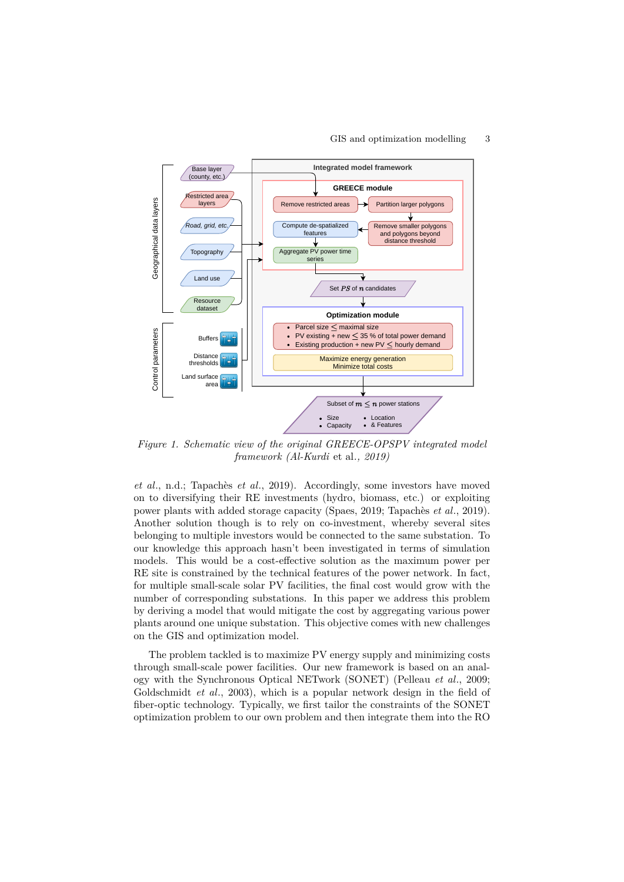

*Figure 1. Schematic view of the original GREECE-OPSPV integrated model framework (Al-Kurdi* et al*., 2019)*

*et al*., n.d.; Tapachès *et al*., 2019). Accordingly, some investors have moved on to diversifying their RE investments (hydro, biomass, etc.) or exploiting power plants with added storage capacity (Spaes, 2019; Tapachès *et al*., 2019). Another solution though is to rely on co-investment, whereby several sites belonging to multiple investors would be connected to the same substation. To our knowledge this approach hasn't been investigated in terms of simulation models. This would be a cost-effective solution as the maximum power per RE site is constrained by the technical features of the power network. In fact, for multiple small-scale solar PV facilities, the final cost would grow with the number of corresponding substations. In this paper we address this problem by deriving a model that would mitigate the cost by aggregating various power plants around one unique substation. This objective comes with new challenges on the GIS and optimization model.

The problem tackled is to maximize PV energy supply and minimizing costs through small-scale power facilities. Our new framework is based on an analogy with the Synchronous Optical NETwork (SONET) (Pelleau *et al*., 2009; Goldschmidt *et al*., 2003), which is a popular network design in the field of fiber-optic technology. Typically, we first tailor the constraints of the SONET optimization problem to our own problem and then integrate them into the RO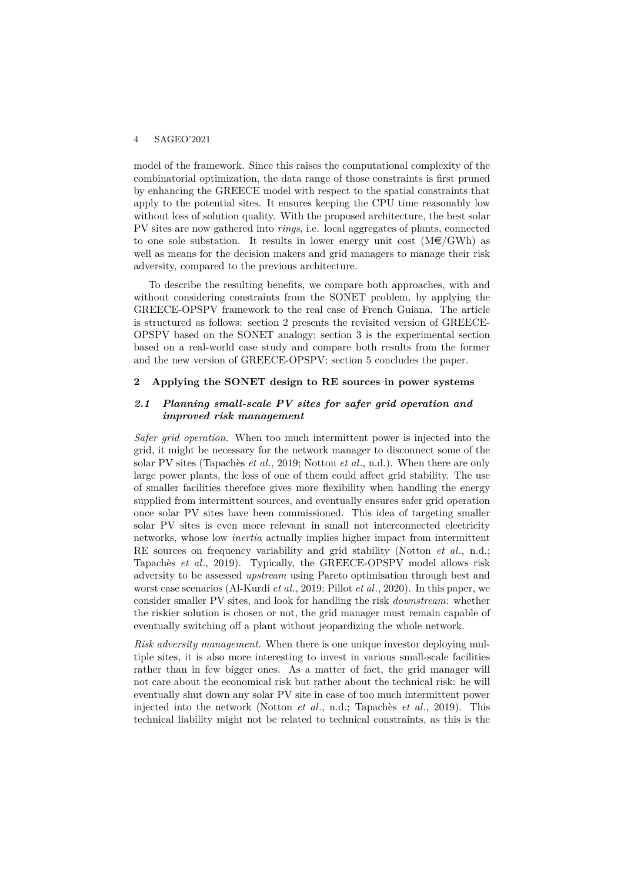model of the framework. Since this raises the computational complexity of the combinatorial optimization, the data range of those constraints is first pruned by enhancing the GREECE model with respect to the spatial constraints that apply to the potential sites. It ensures keeping the CPU time reasonably low without loss of solution quality. With the proposed architecture, the best solar PV sites are now gathered into *rings*, i.e. local aggregates of plants, connected to one sole substation. It results in lower energy unit cost  $(M\epsilon/GWh)$  as well as means for the decision makers and grid managers to manage their risk adversity, compared to the previous architecture.

To describe the resulting benefits, we compare both approaches, with and without considering constraints from the SONET problem, by applying the GREECE-OPSPV framework to the real case of French Guiana. The article is structured as follows: section 2 presents the revisited version of GREECE-OPSPV based on the SONET analogy; section 3 is the experimental section based on a real-world case study and compare both results from the former and the new version of GREECE-OPSPV; section 5 concludes the paper.

### **2 Applying the SONET design to RE sources in power systems**

## *2.1 Planning small-scale PV sites for safer grid operation and improved risk management*

*Safer grid operation.* When too much intermittent power is injected into the grid, it might be necessary for the network manager to disconnect some of the solar PV sites (Tapachès *et al*., 2019; Notton *et al*., n.d.). When there are only large power plants, the loss of one of them could affect grid stability. The use of smaller facilities therefore gives more flexibility when handling the energy supplied from intermittent sources, and eventually ensures safer grid operation once solar PV sites have been commissioned. This idea of targeting smaller solar PV sites is even more relevant in small not interconnected electricity networks, whose low *inertia* actually implies higher impact from intermittent RE sources on frequency variability and grid stability (Notton *et al*., n.d.; Tapachès *et al*., 2019). Typically, the GREECE-OPSPV model allows risk adversity to be assessed *upstream* using Pareto optimisation through best and worst case scenarios (Al-Kurdi *et al*., 2019; Pillot *et al*., 2020). In this paper, we consider smaller PV sites, and look for handling the risk *downstream*: whether the riskier solution is chosen or not, the grid manager must remain capable of eventually switching off a plant without jeopardizing the whole network.

*Risk adversity management.* When there is one unique investor deploying multiple sites, it is also more interesting to invest in various small-scale facilities rather than in few bigger ones. As a matter of fact, the grid manager will not care about the economical risk but rather about the technical risk: he will eventually shut down any solar PV site in case of too much intermittent power injected into the network (Notton *et al*., n.d.; Tapachès *et al*., 2019). This technical liability might not be related to technical constraints, as this is the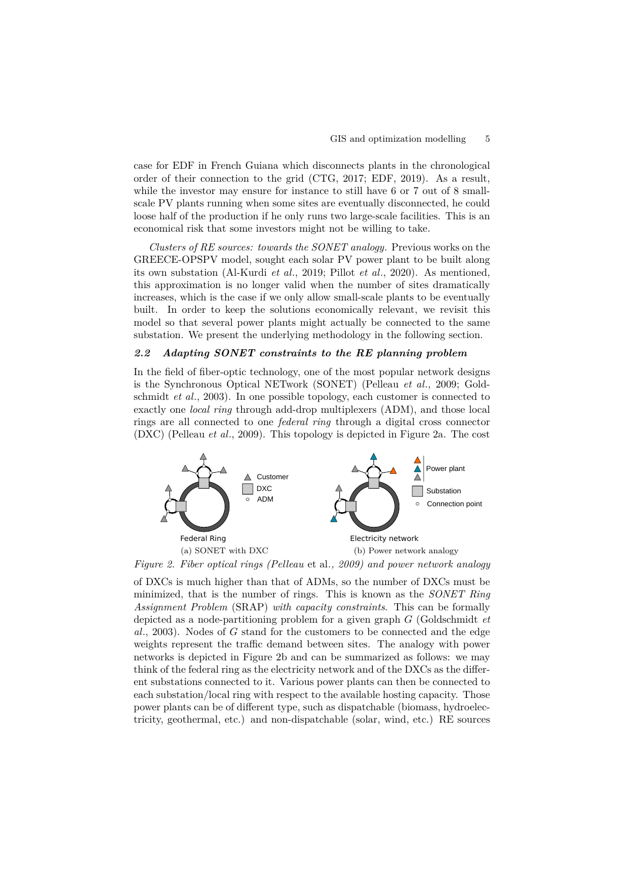case for EDF in French Guiana which disconnects plants in the chronological order of their connection to the grid (CTG, 2017; EDF, 2019). As a result, while the investor may ensure for instance to still have 6 or 7 out of 8 smallscale PV plants running when some sites are eventually disconnected, he could loose half of the production if he only runs two large-scale facilities. This is an economical risk that some investors might not be willing to take.

*Clusters of RE sources: towards the SONET analogy.* Previous works on the GREECE-OPSPV model, sought each solar PV power plant to be built along its own substation (Al-Kurdi *et al*., 2019; Pillot *et al*., 2020). As mentioned, this approximation is no longer valid when the number of sites dramatically increases, which is the case if we only allow small-scale plants to be eventually built. In order to keep the solutions economically relevant, we revisit this model so that several power plants might actually be connected to the same substation. We present the underlying methodology in the following section.

# *2.2 Adapting SONET constraints to the RE planning problem*

In the field of fiber-optic technology, one of the most popular network designs is the Synchronous Optical NETwork (SONET) (Pelleau *et al*., 2009; Goldschmidt *et al*., 2003). In one possible topology, each customer is connected to exactly one *local ring* through add-drop multiplexers (ADM), and those local rings are all connected to one *federal ring* through a digital cross connector (DXC) (Pelleau *et al*., 2009). This topology is depicted in Figure 2a. The cost



*Figure 2. Fiber optical rings (Pelleau* et al*., 2009) and power network analogy*

of DXCs is much higher than that of ADMs, so the number of DXCs must be minimized, that is the number of rings. This is known as the *SONET Ring Assignment Problem* (SRAP) *with capacity constraints*. This can be formally depicted as a node-partitioning problem for a given graph *G* (Goldschmidt *et al*., 2003). Nodes of *G* stand for the customers to be connected and the edge weights represent the traffic demand between sites. The analogy with power networks is depicted in Figure 2b and can be summarized as follows: we may think of the federal ring as the electricity network and of the DXCs as the different substations connected to it. Various power plants can then be connected to each substation/local ring with respect to the available hosting capacity. Those power plants can be of different type, such as dispatchable (biomass, hydroelectricity, geothermal, etc.) and non-dispatchable (solar, wind, etc.) RE sources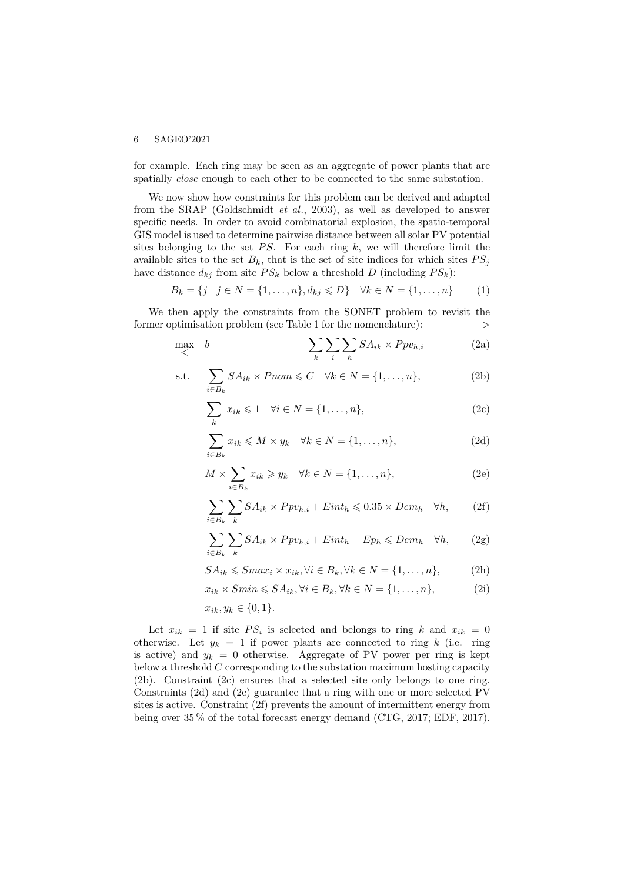for example. Each ring may be seen as an aggregate of power plants that are spatially *close* enough to each other to be connected to the same substation.

We now show how constraints for this problem can be derived and adapted from the SRAP (Goldschmidt *et al*., 2003), as well as developed to answer specific needs. In order to avoid combinatorial explosion, the spatio-temporal GIS model is used to determine pairwise distance between all solar PV potential sites belonging to the set  $PS$ . For each ring  $k$ , we will therefore limit the available sites to the set  $B_k$ , that is the set of site indices for which sites  $PS_j$ have distance  $d_{kj}$  from site  $PS_k$  below a threshold *D* (including  $PS_k$ ):

$$
B_k = \{j \mid j \in N = \{1, ..., n\}, d_{kj} \le D\} \quad \forall k \in N = \{1, ..., n\}
$$
 (1)

We then apply the constraints from the SONET problem to revisit the former optimisation problem (see Table 1 for the nomenclature):  $>$ 

$$
\max_{\lt} b \qquad \qquad \sum_{k} \sum_{i} \sum_{h} SA_{ik} \times Ppv_{h,i} \qquad (2a)
$$

$$
\text{s.t.} \quad \sum_{i \in B_k} SA_{ik} \times Pnom \leq C \quad \forall k \in N = \{1, \dots, n\},\tag{2b}
$$

$$
\sum_{k} x_{ik} \leq 1 \quad \forall i \in N = \{1, \dots, n\},\tag{2c}
$$

$$
\sum_{i \in B_k} x_{ik} \leqslant M \times y_k \quad \forall k \in N = \{1, \dots, n\},\tag{2d}
$$

$$
M \times \sum_{i \in B_k} x_{ik} \ge y_k \quad \forall k \in N = \{1, \dots, n\},\tag{2e}
$$

$$
\sum_{i \in B_k} \sum_k SA_{ik} \times Ppv_{h,i} + Eint_h \leqslant 0.35 \times Dem_h \quad \forall h,
$$
 (2f)

$$
\sum_{i \in B_k} \sum_k SA_{ik} \times Ppv_{h,i} + Eint_h + Ep_h \leqslant Dem_h \quad \forall h,
$$
 (2g)

$$
SA_{ik} \leq Smax_i \times x_{ik}, \forall i \in B_k, \forall k \in N = \{1, ..., n\},
$$
 (2h)

$$
x_{ik} \times Smin \leq SA_{ik}, \forall i \in B_k, \forall k \in N = \{1, \dots, n\},\tag{2i}
$$

$$
x_{ik}, y_k \in \{0, 1\}.
$$

Let  $x_{ik} = 1$  if site  $PS_i$  is selected and belongs to ring k and  $x_{ik} = 0$ otherwise. Let  $y_k = 1$  if power plants are connected to ring k (i.e. ring is active) and  $y_k = 0$  otherwise. Aggregate of PV power per ring is kept below a threshold *C* corresponding to the substation maximum hosting capacity (2b). Constraint (2c) ensures that a selected site only belongs to one ring. Constraints (2d) and (2e) guarantee that a ring with one or more selected PV sites is active. Constraint (2f) prevents the amount of intermittent energy from being over 35 % of the total forecast energy demand (CTG, 2017; EDF, 2017).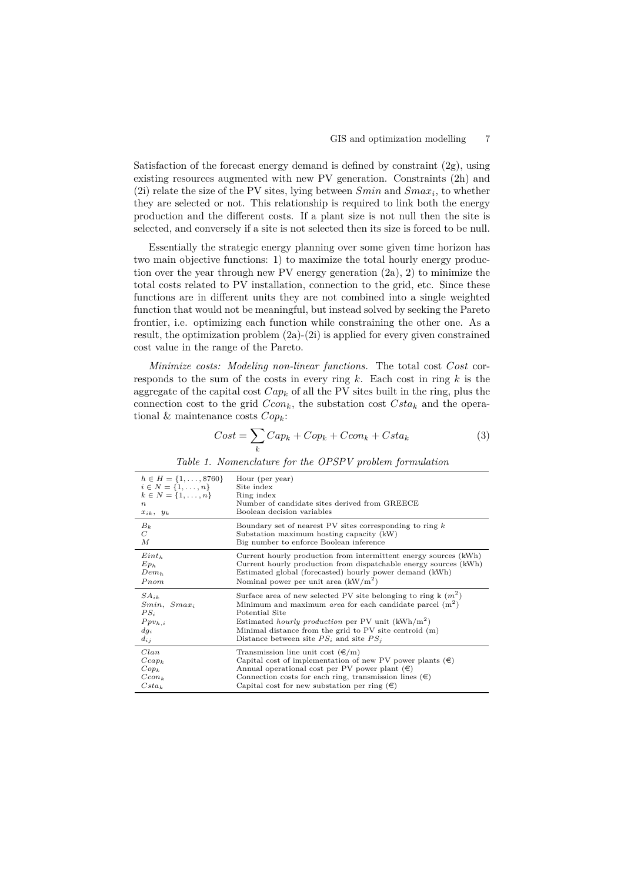Satisfaction of the forecast energy demand is defined by constraint (2g), using existing resources augmented with new PV generation. Constraints (2h) and (2i) relate the size of the PV sites, lying between *Smin* and *Smax<sup>i</sup>* , to whether they are selected or not. This relationship is required to link both the energy production and the different costs. If a plant size is not null then the site is selected, and conversely if a site is not selected then its size is forced to be null.

Essentially the strategic energy planning over some given time horizon has two main objective functions: 1) to maximize the total hourly energy production over the year through new PV energy generation (2a), 2) to minimize the total costs related to PV installation, connection to the grid, etc. Since these functions are in different units they are not combined into a single weighted function that would not be meaningful, but instead solved by seeking the Pareto frontier, i.e. optimizing each function while constraining the other one. As a result, the optimization problem (2a)-(2i) is applied for every given constrained cost value in the range of the Pareto.

*Minimize costs: Modeling non-linear functions.* The total cost *Cost* corresponds to the sum of the costs in every ring *k*. Each cost in ring *k* is the aggregate of the capital cost *Cap<sup>k</sup>* of all the PV sites built in the ring, plus the connection cost to the grid  $Ccon_k$ , the substation cost  $Csta_k$  and the operational & maintenance costs *Copk*:

$$
Cost = \sum_{k} Cap_{k} + Cop_{k} + Ccon_{k} + Csta_{k}
$$
\n(3)

| $h \in H = \{1, \ldots, 8760\}$ | Hour (per year)                                                    |
|---------------------------------|--------------------------------------------------------------------|
| $i \in N = \{1, , n\}$          | Site index                                                         |
| $k \in N = \{1, , n\}$          | Ring index                                                         |
| $\boldsymbol{n}$                | Number of candidate sites derived from GREECE                      |
| $x_{ik}, y_k$                   | Boolean decision variables                                         |
| $B_k$                           | Boundary set of nearest PV sites corresponding to ring $k$         |
| $\overline{C}$                  | Substation maximum hosting capacity (kW)                           |
| М                               | Big number to enforce Boolean inference                            |
| $Eint_h$                        | Current hourly production from intermittent energy sources (kWh)   |
| $Ep_h$                          | Current hourly production from dispatchable energy sources (kWh)   |
| $Dem_h$                         | Estimated global (forecasted) hourly power demand (kWh)            |
| Pnom                            | Nominal power per unit area $(kW/m^2)$                             |
| $SA_{ik}$                       | Surface area of new selected PV site belonging to ring k $(m^2)$   |
| $Smin$ , $Smax_i$               | Minimum and maximum <i>area</i> for each candidate parcel $(m^2)$  |
| $PS_i$                          | Potential Site                                                     |
| $Ppv_{h,i}$                     | Estimated <i>hourly production</i> per PV unit $(kWh/m^2)$         |
| $dg_i$                          | Minimal distance from the grid to PV site centroid (m)             |
| $d_{ij}$                        | Distance between site $PS_i$ and site $PS_i$                       |
| Clan                            | Transmission line unit cost $(\epsilon/m)$                         |
| $Ccap_k$                        | Capital cost of implementation of new PV power plants $(\epsilon)$ |
| $Cop_k$                         | Annual operational cost per PV power plant $(\epsilon)$            |
| $Ccon_k$                        | Connection costs for each ring, transmission lines $(\epsilon)$    |
| $Csta_k$                        | Capital cost for new substation per ring $(\epsilon)$              |

*Table 1. Nomenclature for the OPSPV problem formulation*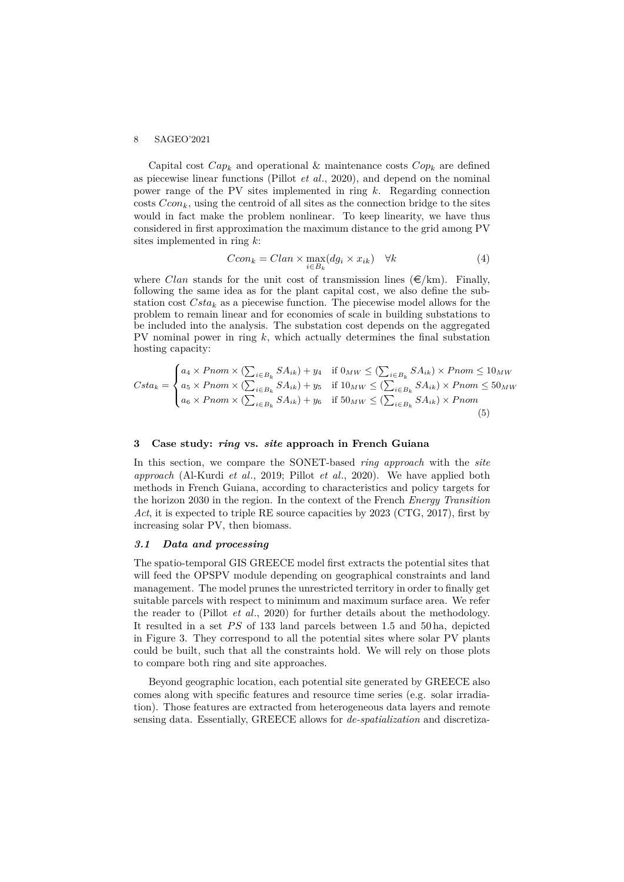Capital cost  $Cap_k$  and operational & maintenance costs  $Cop_k$  are defined as piecewise linear functions (Pillot *et al*., 2020), and depend on the nominal power range of the PV sites implemented in ring *k*. Regarding connection costs  $Ccon_k$ , using the centroid of all sites as the connection bridge to the sites would in fact make the problem nonlinear. To keep linearity, we have thus considered in first approximation the maximum distance to the grid among PV sites implemented in ring *k*:

$$
Ccon_k = Clan \times \max_{i \in B_k} (dg_i \times x_{ik}) \quad \forall k \tag{4}
$$

where *Clan* stands for the unit cost of transmission lines  $(\epsilon/km)$ . Finally, following the same idea as for the plant capital cost, we also define the substation cost *Csta<sup>k</sup>* as a piecewise function. The piecewise model allows for the problem to remain linear and for economies of scale in building substations to be included into the analysis. The substation cost depends on the aggregated PV nominal power in ring *k*, which actually determines the final substation hosting capacity:

$$
Csta_k = \begin{cases} a_4 \times Pnom \times (\sum_{i \in B_k} SA_{ik}) + y_4 & \text{if } 0_{MW} \le (\sum_{i \in B_k} SA_{ik}) \times Pnom \le 10_{MW} \\ a_5 \times Pnom \times (\sum_{i \in B_k} SA_{ik}) + y_5 & \text{if } 10_{MW} \le (\sum_{i \in B_k} SA_{ik}) \times Pnom \le 50_{MW} \\ a_6 \times Pnom \times (\sum_{i \in B_k} SA_{ik}) + y_6 & \text{if } 50_{MW} \le (\sum_{i \in B_k} SA_{ik}) \times Pnom \end{cases} \tag{5}
$$

## **3 Case study:** *ring* **vs.** *site* **approach in French Guiana**

In this section, we compare the SONET-based *ring approach* with the *site approach* (Al-Kurdi *et al*., 2019; Pillot *et al*., 2020). We have applied both methods in French Guiana, according to characteristics and policy targets for the horizon 2030 in the region. In the context of the French *Energy Transition* Act, it is expected to triple RE source capacities by 2023 (CTG, 2017), first by increasing solar PV, then biomass.

# *3.1 Data and processing*

The spatio-temporal GIS GREECE model first extracts the potential sites that will feed the OPSPV module depending on geographical constraints and land management. The model prunes the unrestricted territory in order to finally get suitable parcels with respect to minimum and maximum surface area. We refer the reader to (Pillot *et al*., 2020) for further details about the methodology. It resulted in a set *PS* of 133 land parcels between 1.5 and 50 ha, depicted in Figure 3. They correspond to all the potential sites where solar PV plants could be built, such that all the constraints hold. We will rely on those plots to compare both ring and site approaches.

Beyond geographic location, each potential site generated by GREECE also comes along with specific features and resource time series (e.g. solar irradiation). Those features are extracted from heterogeneous data layers and remote sensing data. Essentially, GREECE allows for *de-spatialization* and discretiza-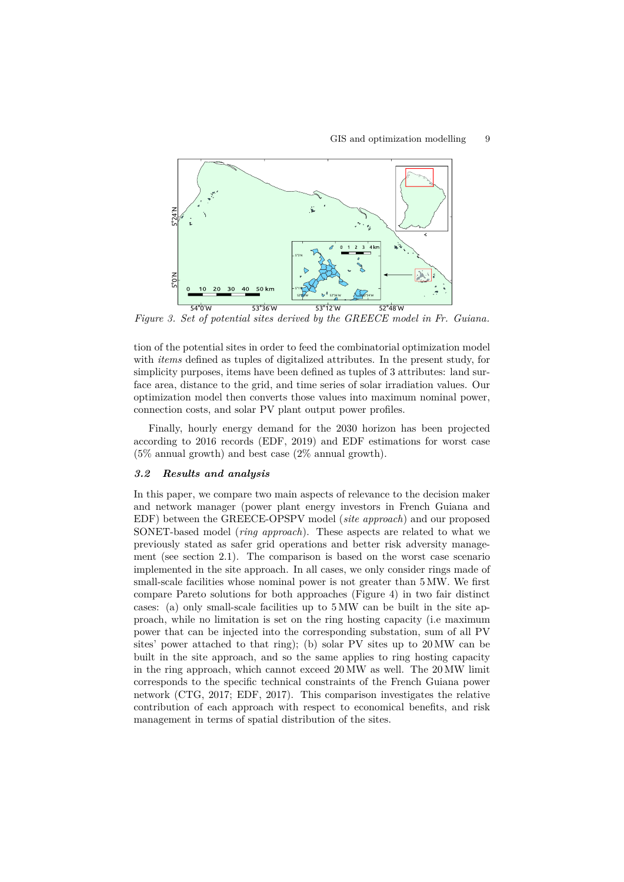

*Figure 3. Set of potential sites derived by the GREECE model in Fr. Guiana.*

tion of the potential sites in order to feed the combinatorial optimization model with *items* defined as tuples of digitalized attributes. In the present study, for simplicity purposes, items have been defined as tuples of 3 attributes: land surface area, distance to the grid, and time series of solar irradiation values. Our optimization model then converts those values into maximum nominal power, connection costs, and solar PV plant output power profiles.

Finally, hourly energy demand for the 2030 horizon has been projected according to 2016 records (EDF, 2019) and EDF estimations for worst case (5% annual growth) and best case (2% annual growth).

# *3.2 Results and analysis*

In this paper, we compare two main aspects of relevance to the decision maker and network manager (power plant energy investors in French Guiana and EDF) between the GREECE-OPSPV model (*site approach*) and our proposed SONET-based model (*ring approach*). These aspects are related to what we previously stated as safer grid operations and better risk adversity management (see section 2.1). The comparison is based on the worst case scenario implemented in the site approach. In all cases, we only consider rings made of small-scale facilities whose nominal power is not greater than 5 MW. We first compare Pareto solutions for both approaches (Figure 4) in two fair distinct cases: (a) only small-scale facilities up to 5 MW can be built in the site approach, while no limitation is set on the ring hosting capacity (i.e maximum power that can be injected into the corresponding substation, sum of all PV sites' power attached to that ring); (b) solar PV sites up to 20 MW can be built in the site approach, and so the same applies to ring hosting capacity in the ring approach, which cannot exceed 20 MW as well. The 20 MW limit corresponds to the specific technical constraints of the French Guiana power network (CTG, 2017; EDF, 2017). This comparison investigates the relative contribution of each approach with respect to economical benefits, and risk management in terms of spatial distribution of the sites.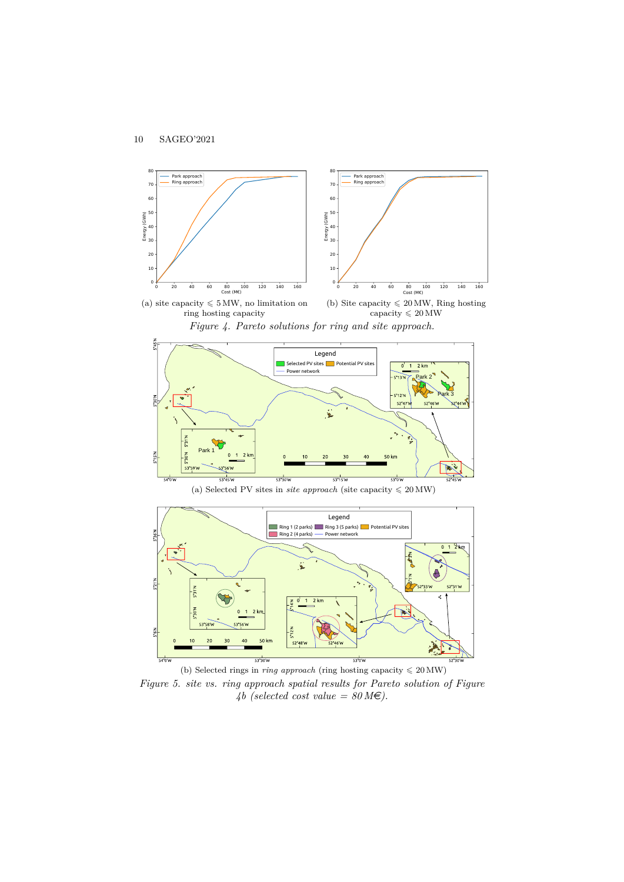









(b) Selected rings in *ring approach* (ring hosting capacity  $\leq 20 \text{ MW}$ ) *Figure 5. site vs. ring approach spatial results for Pareto solution of Figure* 4b (selected cost value =  $80 \text{M} \epsilon$ ).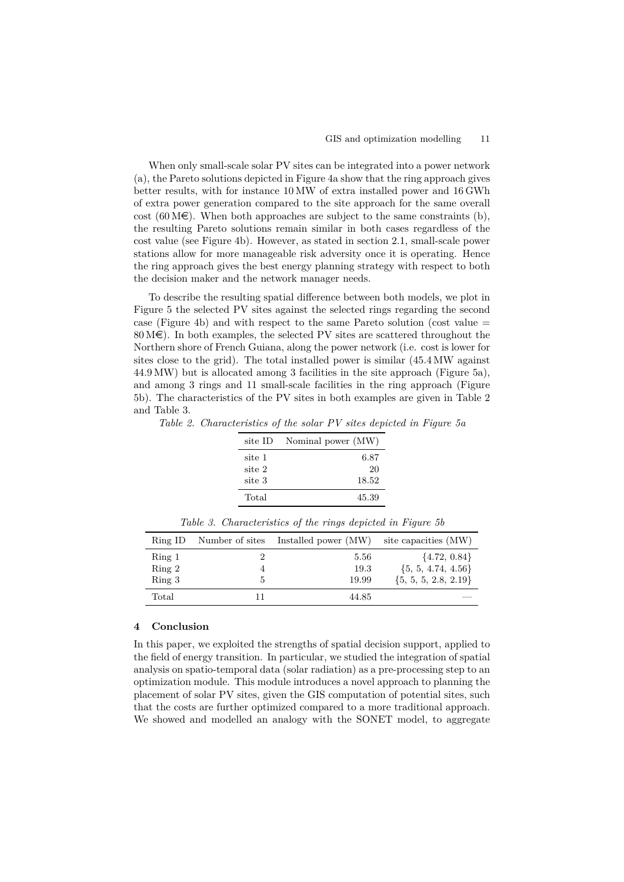When only small-scale solar PV sites can be integrated into a power network (a), the Pareto solutions depicted in Figure 4a show that the ring approach gives better results, with for instance 10 MW of extra installed power and 16 GWh of extra power generation compared to the site approach for the same overall cost (60 M $\in$ ). When both approaches are subject to the same constraints (b), the resulting Pareto solutions remain similar in both cases regardless of the cost value (see Figure 4b). However, as stated in section 2.1, small-scale power stations allow for more manageable risk adversity once it is operating. Hence the ring approach gives the best energy planning strategy with respect to both the decision maker and the network manager needs.

To describe the resulting spatial difference between both models, we plot in Figure 5 the selected PV sites against the selected rings regarding the second case (Figure 4b) and with respect to the same Pareto solution (cost value =  $80 \text{M} \in$ ). In both examples, the selected PV sites are scattered throughout the Northern shore of French Guiana, along the power network (i.e. cost is lower for sites close to the grid). The total installed power is similar (45.4 MW against 44.9 MW) but is allocated among 3 facilities in the site approach (Figure 5a), and among 3 rings and 11 small-scale facilities in the ring approach (Figure 5b). The characteristics of the PV sites in both examples are given in Table 2 and Table 3.

*Table 2. Characteristics of the solar PV sites depicted in Figure 5a*

| site ID | Nominal power (MW) |
|---------|--------------------|
| site 1  | 6.87               |
| site 2  | 20                 |
| site 3  | 18.52              |
| Total   | 45.39              |

| Ring ID | Number of sites | Installed power (MW) | site capacities (MW)     |
|---------|-----------------|----------------------|--------------------------|
| Ring 1  |                 | 5.56                 | $\{4.72, 0.84\}$         |
| Ring 2  |                 | 19.3                 | $\{5, 5, 4.74, 4.56\}$   |
| Ring 3  | b.              | 19.99                | $\{5, 5, 5, 2.8, 2.19\}$ |
| Total   |                 | 44.85                |                          |

*Table 3. Characteristics of the rings depicted in Figure 5b*

## **4 Conclusion**

In this paper, we exploited the strengths of spatial decision support, applied to the field of energy transition. In particular, we studied the integration of spatial analysis on spatio-temporal data (solar radiation) as a pre-processing step to an optimization module. This module introduces a novel approach to planning the placement of solar PV sites, given the GIS computation of potential sites, such that the costs are further optimized compared to a more traditional approach. We showed and modelled an analogy with the SONET model, to aggregate